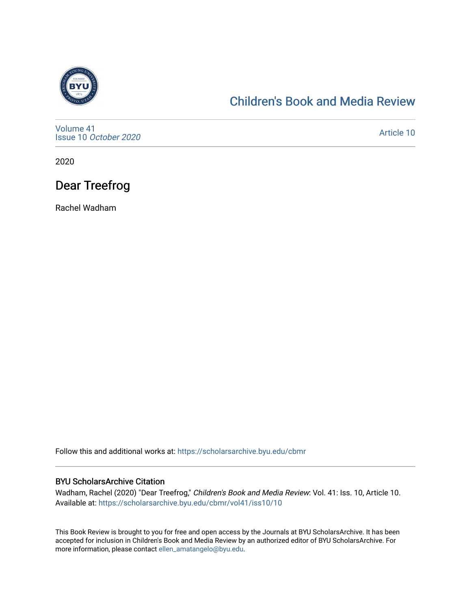

### [Children's Book and Media Review](https://scholarsarchive.byu.edu/cbmr)

[Volume 41](https://scholarsarchive.byu.edu/cbmr/vol41) Issue 10 [October 2020](https://scholarsarchive.byu.edu/cbmr/vol41/iss10)

[Article 10](https://scholarsarchive.byu.edu/cbmr/vol41/iss10/10) 

2020

# Dear Treefrog

Rachel Wadham

Follow this and additional works at: [https://scholarsarchive.byu.edu/cbmr](https://scholarsarchive.byu.edu/cbmr?utm_source=scholarsarchive.byu.edu%2Fcbmr%2Fvol41%2Fiss10%2F10&utm_medium=PDF&utm_campaign=PDFCoverPages) 

#### BYU ScholarsArchive Citation

Wadham, Rachel (2020) "Dear Treefrog," Children's Book and Media Review: Vol. 41: Iss. 10, Article 10. Available at: [https://scholarsarchive.byu.edu/cbmr/vol41/iss10/10](https://scholarsarchive.byu.edu/cbmr/vol41/iss10/10?utm_source=scholarsarchive.byu.edu%2Fcbmr%2Fvol41%2Fiss10%2F10&utm_medium=PDF&utm_campaign=PDFCoverPages) 

This Book Review is brought to you for free and open access by the Journals at BYU ScholarsArchive. It has been accepted for inclusion in Children's Book and Media Review by an authorized editor of BYU ScholarsArchive. For more information, please contact [ellen\\_amatangelo@byu.edu.](mailto:ellen_amatangelo@byu.edu)